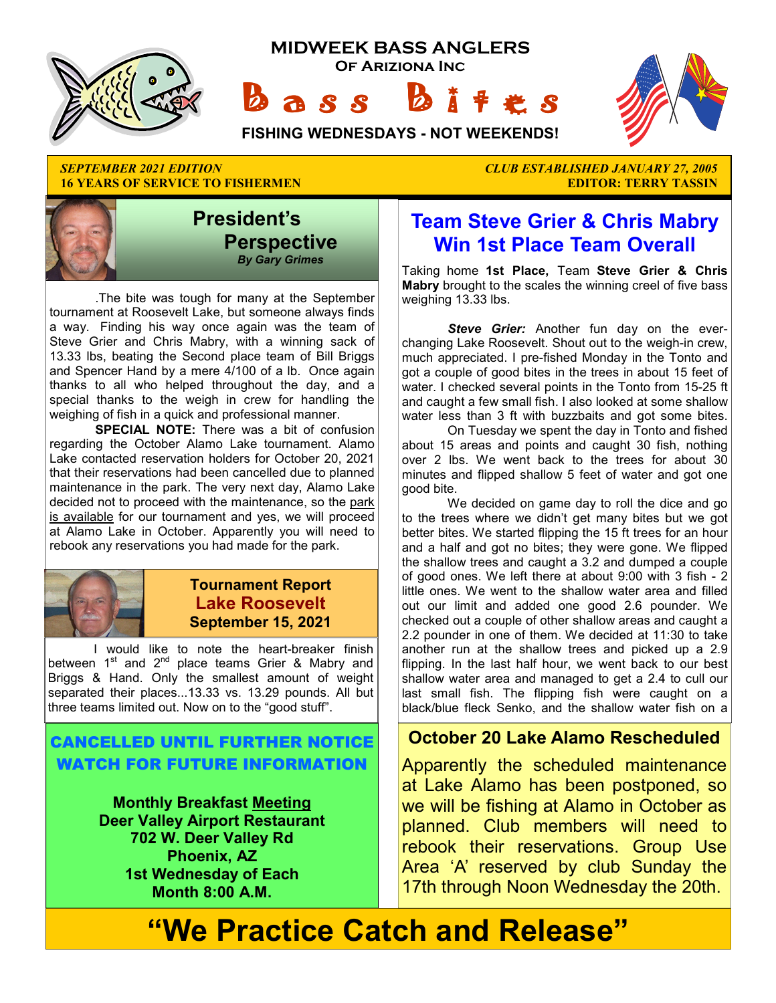

**16 YEARS OF SERVICE TO FISHERMEN EDITOR: TERRY TASSIN** 



 .The bite was tough for many at the September tournament at Roosevelt Lake, but someone always finds a way. Finding his way once again was the team of Steve Grier and Chris Mabry, with a winning sack of 13.33 lbs, beating the Second place team of Bill Briggs and Spencer Hand by a mere 4/100 of a lb. Once again thanks to all who helped throughout the day, and a special thanks to the weigh in crew for handling the weighing of fish in a quick and professional manner.

 **SPECIAL NOTE:** There was a bit of confusion regarding the October Alamo Lake tournament. Alamo Lake contacted reservation holders for October 20, 2021 that their reservations had been cancelled due to planned maintenance in the park. The very next day, Alamo Lake decided not to proceed with the maintenance, so the park is available for our tournament and yes, we will proceed at Alamo Lake in October. Apparently you will need to rebook any reservations you had made for the park.



#### **Tournament Report Lake Roosevelt September 15, 2021**

 I would like to note the heart-breaker finish between 1<sup>st</sup> and 2<sup>nd</sup> place teams Grier & Mabry and Briggs & Hand. Only the smallest amount of weight separated their places...13.33 vs. 13.29 pounds. All but three teams limited out. Now on to the "good stuff".

#### CANCELLED UNTIL FURTHER NOTICE WATCH FOR FUTURE INFORMATION

**Monthly Breakfast Meeting Deer Valley Airport Restaurant 702 W. Deer Valley Rd Phoenix, AZ 1st Wednesday of Each Month 8:00 A.M.** 

*SEPTEMBER 2021 EDITION CLUB ESTABLISHED JANUARY 27, 2005* 

# **Team Steve Grier & Chris Mabry Win 1st Place Team Overall**

Taking home **1st Place,** Team **Steve Grier & Chris Mabry** brought to the scales the winning creel of five bass weighing 13.33 lbs.

*Steve Grier:* Another fun day on the everchanging Lake Roosevelt. Shout out to the weigh-in crew, much appreciated. I pre-fished Monday in the Tonto and got a couple of good bites in the trees in about 15 feet of water. I checked several points in the Tonto from 15-25 ft and caught a few small fish. I also looked at some shallow water less than 3 ft with buzzbaits and got some bites.

 On Tuesday we spent the day in Tonto and fished about 15 areas and points and caught 30 fish, nothing over 2 lbs. We went back to the trees for about 30 minutes and flipped shallow 5 feet of water and got one good bite.

 We decided on game day to roll the dice and go to the trees where we didn't get many bites but we got better bites. We started flipping the 15 ft trees for an hour and a half and got no bites; they were gone. We flipped the shallow trees and caught a 3.2 and dumped a couple of good ones. We left there at about 9:00 with 3 fish - 2 little ones. We went to the shallow water area and filled out our limit and added one good 2.6 pounder. We checked out a couple of other shallow areas and caught a 2.2 pounder in one of them. We decided at 11:30 to take another run at the shallow trees and picked up a 2.9 flipping. In the last half hour, we went back to our best shallow water area and managed to get a 2.4 to cull our last small fish. The flipping fish were caught on a black/blue fleck Senko, and the shallow water fish on a

#### **October 20 Lake Alamo Rescheduled**

Apparently the scheduled maintenance at Lake Alamo has been postponed, so we will be fishing at Alamo in October as planned. Club members will need to rebook their reservations. Group Use Area 'A' reserved by club Sunday the 17th through Noon Wednesday the 20th.

# **"We Practice Catch and Release"**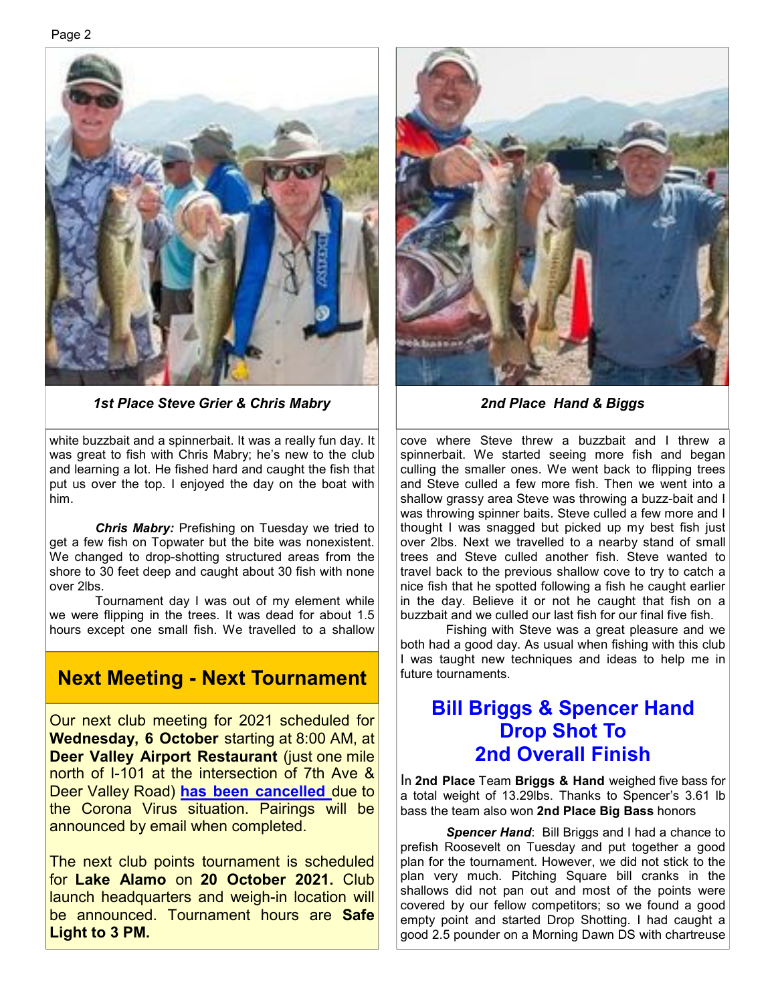#### Page 2



*1st Place Steve Grier & Chris Mabry 2nd Place Hand & Biggs* 

white buzzbait and a spinnerbait. It was a really fun day. It was great to fish with Chris Mabry; he's new to the club and learning a lot. He fished hard and caught the fish that put us over the top. I enjoyed the day on the boat with him.

 *Chris Mabry:* Prefishing on Tuesday we tried to get a few fish on Topwater but the bite was nonexistent. We changed to drop-shotting structured areas from the shore to 30 feet deep and caught about 30 fish with none over 2lbs.

 Tournament day I was out of my element while we were flipping in the trees. It was dead for about 1.5 hours except one small fish. We travelled to a shallow

#### **Next Meeting - Next Tournament**

Our next club meeting for 2021 scheduled for **Wednesday, 6 October** starting at 8:00 AM, at **Deer Valley Airport Restaurant** (just one mile north of I-101 at the intersection of 7th Ave & Deer Valley Road) **has been cancelled** due to the Corona Virus situation. Pairings will be announced by email when completed.

The next club points tournament is scheduled for **Lake Alamo** on **20 October 2021.** Club launch headquarters and weigh-in location will be announced. Tournament hours are **Safe Light to 3 PM.** 



cove where Steve threw a buzzbait and I threw a spinnerbait. We started seeing more fish and began culling the smaller ones. We went back to flipping trees and Steve culled a few more fish. Then we went into a shallow grassy area Steve was throwing a buzz-bait and I was throwing spinner baits. Steve culled a few more and I thought I was snagged but picked up my best fish just over 2lbs. Next we travelled to a nearby stand of small trees and Steve culled another fish. Steve wanted to travel back to the previous shallow cove to try to catch a nice fish that he spotted following a fish he caught earlier in the day. Believe it or not he caught that fish on a buzzbait and we culled our last fish for our final five fish.

 Fishing with Steve was a great pleasure and we both had a good day. As usual when fishing with this club I was taught new techniques and ideas to help me in future tournaments.

### **Bill Briggs & Spencer Hand Drop Shot To 2nd Overall Finish**

In **2nd Place** Team **Briggs & Hand** weighed five bass for a total weight of 13.29lbs. Thanks to Spencer's 3.61 lb bass the team also won **2nd Place Big Bass** honors

*Spencer Hand*: Bill Briggs and I had a chance to prefish Roosevelt on Tuesday and put together a good plan for the tournament. However, we did not stick to the plan very much. Pitching Square bill cranks in the shallows did not pan out and most of the points were covered by our fellow competitors; so we found a good empty point and started Drop Shotting. I had caught a good 2.5 pounder on a Morning Dawn DS with chartreuse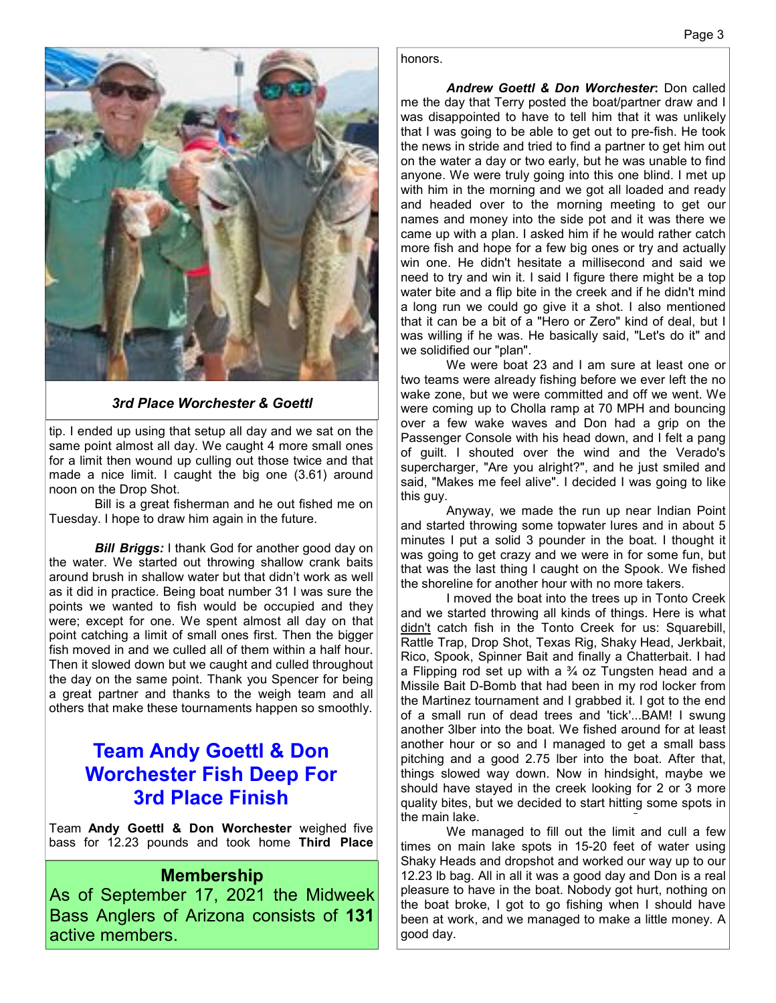

*3rd Place Worchester & Goettl*

tip. I ended up using that setup all day and we sat on the same point almost all day. We caught 4 more small ones for a limit then wound up culling out those twice and that made a nice limit. I caught the big one (3.61) around noon on the Drop Shot.

 Bill is a great fisherman and he out fished me on Tuesday. I hope to draw him again in the future.

*Bill Briggs:* I thank God for another good day on the water. We started out throwing shallow crank baits around brush in shallow water but that didn't work as well as it did in practice. Being boat number 31 I was sure the points we wanted to fish would be occupied and they were; except for one. We spent almost all day on that point catching a limit of small ones first. Then the bigger fish moved in and we culled all of them within a half hour. Then it slowed down but we caught and culled throughout the day on the same point. Thank you Spencer for being a great partner and thanks to the weigh team and all others that make these tournaments happen so smoothly.

### **Team Andy Goettl & Don Worchester Fish Deep For 3rd Place Finish**

Team **Andy Goettl & Don Worchester** weighed five bass for 12.23 pounds and took home **Third Place** 

#### **Membership**

As of September 17, 2021 the Midweek Bass Anglers of Arizona consists of **131**  active members.

honors.

*Andrew Goettl & Don Worchester***:** Don called me the day that Terry posted the boat/partner draw and I was disappointed to have to tell him that it was unlikely that I was going to be able to get out to pre-fish. He took the news in stride and tried to find a partner to get him out on the water a day or two early, but he was unable to find anyone. We were truly going into this one blind. I met up with him in the morning and we got all loaded and ready and headed over to the morning meeting to get our names and money into the side pot and it was there we came up with a plan. I asked him if he would rather catch more fish and hope for a few big ones or try and actually win one. He didn't hesitate a millisecond and said we need to try and win it. I said I figure there might be a top water bite and a flip bite in the creek and if he didn't mind a long run we could go give it a shot. I also mentioned that it can be a bit of a "Hero or Zero" kind of deal, but I was willing if he was. He basically said, "Let's do it" and we solidified our "plan".

 We were boat 23 and I am sure at least one or two teams were already fishing before we ever left the no wake zone, but we were committed and off we went. We were coming up to Cholla ramp at 70 MPH and bouncing over a few wake waves and Don had a grip on the Passenger Console with his head down, and I felt a pang of guilt. I shouted over the wind and the Verado's supercharger, "Are you alright?", and he just smiled and said, "Makes me feel alive". I decided I was going to like this guy.

 Anyway, we made the run up near Indian Point and started throwing some topwater lures and in about 5 minutes I put a solid 3 pounder in the boat. I thought it was going to get crazy and we were in for some fun, but that was the last thing I caught on the Spook. We fished the shoreline for another hour with no more takers.

 I moved the boat into the trees up in Tonto Creek and we started throwing all kinds of things. Here is what didn't catch fish in the Tonto Creek for us: Squarebill, Rattle Trap, Drop Shot, Texas Rig, Shaky Head, Jerkbait, Rico, Spook, Spinner Bait and finally a Chatterbait. I had a Flipping rod set up with a  $\frac{3}{4}$  oz Tungsten head and a Missile Bait D-Bomb that had been in my rod locker from the Martinez tournament and I grabbed it. I got to the end of a small run of dead trees and 'tick'...BAM! I swung another 3lber into the boat. We fished around for at least another hour or so and I managed to get a small bass pitching and a good 2.75 lber into the boat. After that, things slowed way down. Now in hindsight, maybe we should have stayed in the creek looking for 2 or 3 more quality bites, but we decided to start hitting some spots in the main lake.

 We managed to fill out the limit and cull a few times on main lake spots in 15-20 feet of water using Shaky Heads and dropshot and worked our way up to our 12.23 lb bag. All in all it was a good day and Don is a real pleasure to have in the boat. Nobody got hurt, nothing on the boat broke, I got to go fishing when I should have been at work, and we managed to make a little money. A good day.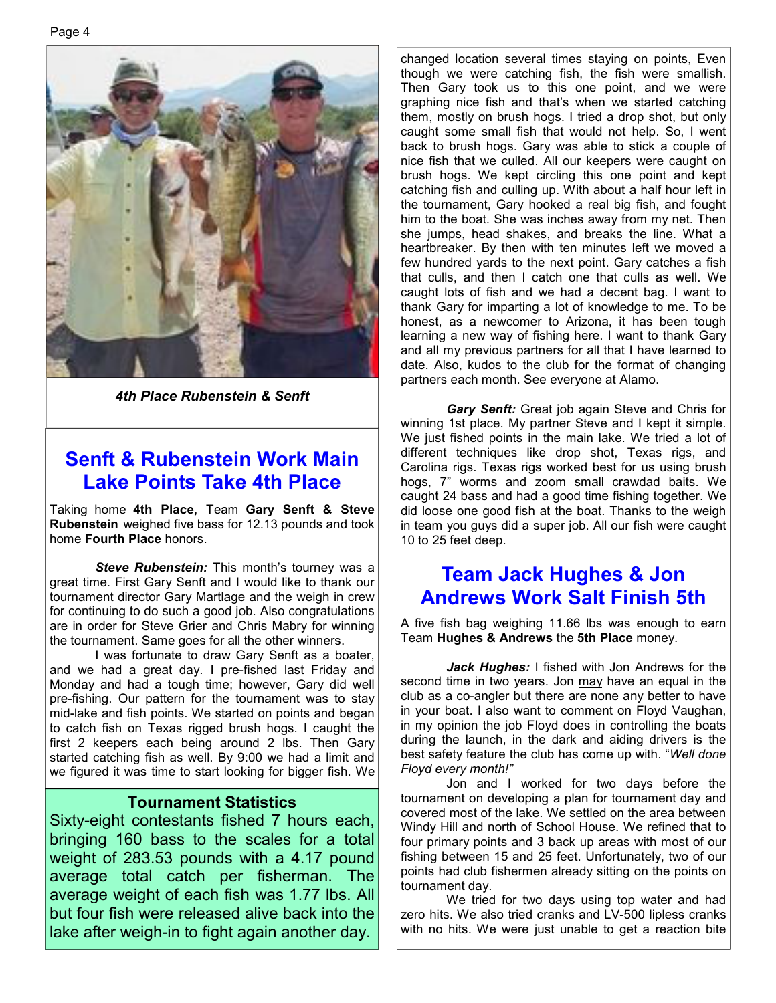

*4th Place Rubenstein & Senft* 

### **Senft & Rubenstein Work Main Lake Points Take 4th Place**

Taking home **4th Place,** Team **Gary Senft & Steve Rubenstein** weighed five bass for 12.13 pounds and took home **Fourth Place** honors.

*Steve Rubenstein:* This month's tourney was a great time. First Gary Senft and I would like to thank our tournament director Gary Martlage and the weigh in crew for continuing to do such a good job. Also congratulations are in order for Steve Grier and Chris Mabry for winning the tournament. Same goes for all the other winners.

 I was fortunate to draw Gary Senft as a boater, and we had a great day. I pre-fished last Friday and Monday and had a tough time; however, Gary did well pre-fishing. Our pattern for the tournament was to stay mid-lake and fish points. We started on points and began to catch fish on Texas rigged brush hogs. I caught the first 2 keepers each being around 2 lbs. Then Gary started catching fish as well. By 9:00 we had a limit and we figured it was time to start looking for bigger fish. We

#### **Tournament Statistics**

Sixty-eight contestants fished 7 hours each, bringing 160 bass to the scales for a total weight of 283.53 pounds with a 4.17 pound average total catch per fisherman. The average weight of each fish was 1.77 lbs. All but four fish were released alive back into the lake after weigh-in to fight again another day.

changed location several times staying on points, Even though we were catching fish, the fish were smallish. Then Gary took us to this one point, and we were graphing nice fish and that's when we started catching them, mostly on brush hogs. I tried a drop shot, but only caught some small fish that would not help. So, I went back to brush hogs. Gary was able to stick a couple of nice fish that we culled. All our keepers were caught on brush hogs. We kept circling this one point and kept catching fish and culling up. With about a half hour left in the tournament, Gary hooked a real big fish, and fought him to the boat. She was inches away from my net. Then she jumps, head shakes, and breaks the line. What a heartbreaker. By then with ten minutes left we moved a few hundred yards to the next point. Gary catches a fish that culls, and then I catch one that culls as well. We caught lots of fish and we had a decent bag. I want to thank Gary for imparting a lot of knowledge to me. To be honest, as a newcomer to Arizona, it has been tough learning a new way of fishing here. I want to thank Gary and all my previous partners for all that I have learned to date. Also, kudos to the club for the format of changing partners each month. See everyone at Alamo.

 *Gary Senft:* Great job again Steve and Chris for winning 1st place. My partner Steve and I kept it simple. We just fished points in the main lake. We tried a lot of different techniques like drop shot, Texas rigs, and Carolina rigs. Texas rigs worked best for us using brush hogs, 7" worms and zoom small crawdad baits. We caught 24 bass and had a good time fishing together. We did loose one good fish at the boat. Thanks to the weigh in team you guys did a super job. All our fish were caught 10 to 25 feet deep.

# **Team Jack Hughes & Jon Andrews Work Salt Finish 5th**

A five fish bag weighing 11.66 lbs was enough to earn Team **Hughes & Andrews** the **5th Place** money.

*Jack Hughes:* I fished with Jon Andrews for the second time in two years. Jon may have an equal in the club as a co-angler but there are none any better to have in your boat. I also want to comment on Floyd Vaughan, in my opinion the job Floyd does in controlling the boats during the launch, in the dark and aiding drivers is the best safety feature the club has come up with. "*Well done Floyd every month!"* 

 Jon and I worked for two days before the tournament on developing a plan for tournament day and covered most of the lake. We settled on the area between Windy Hill and north of School House. We refined that to four primary points and 3 back up areas with most of our fishing between 15 and 25 feet. Unfortunately, two of our points had club fishermen already sitting on the points on tournament day.

 We tried for two days using top water and had zero hits. We also tried cranks and LV-500 lipless cranks with no hits. We were just unable to get a reaction bite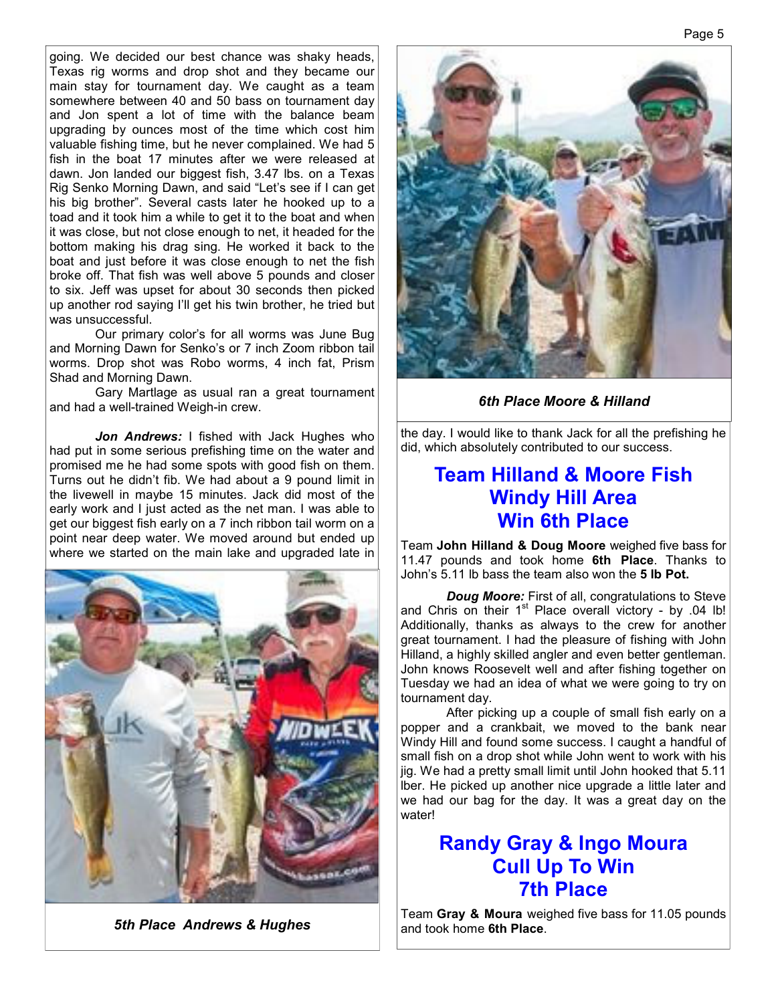going. We decided our best chance was shaky heads, Texas rig worms and drop shot and they became our main stay for tournament day. We caught as a team somewhere between 40 and 50 bass on tournament day and Jon spent a lot of time with the balance beam upgrading by ounces most of the time which cost him valuable fishing time, but he never complained. We had 5 fish in the boat 17 minutes after we were released at dawn. Jon landed our biggest fish, 3.47 lbs. on a Texas Rig Senko Morning Dawn, and said "Let's see if I can get his big brother". Several casts later he hooked up to a toad and it took him a while to get it to the boat and when it was close, but not close enough to net, it headed for the bottom making his drag sing. He worked it back to the boat and just before it was close enough to net the fish broke off. That fish was well above 5 pounds and closer to six. Jeff was upset for about 30 seconds then picked up another rod saying I'll get his twin brother, he tried but was unsuccessful.

 Our primary color's for all worms was June Bug and Morning Dawn for Senko's or 7 inch Zoom ribbon tail worms. Drop shot was Robo worms, 4 inch fat, Prism Shad and Morning Dawn.

 Gary Martlage as usual ran a great tournament and had a well-trained Weigh-in crew.

Jon Andrews: I fished with Jack Hughes who had put in some serious prefishing time on the water and promised me he had some spots with good fish on them. Turns out he didn't fib. We had about a 9 pound limit in the livewell in maybe 15 minutes. Jack did most of the early work and I just acted as the net man. I was able to get our biggest fish early on a 7 inch ribbon tail worm on a point near deep water. We moved around but ended up where we started on the main lake and upgraded late in



**5th Place Andrews & Hughes** 



*6th Place Moore & Hilland* 

the day. I would like to thank Jack for all the prefishing he did, which absolutely contributed to our success.

### **Team Hilland & Moore Fish Windy Hill Area Win 6th Place**

Team **John Hilland & Doug Moore** weighed five bass for 11.47 pounds and took home **6th Place**. Thanks to John's 5.11 lb bass the team also won the **5 lb Pot.**

*Doug Moore:* First of all, congratulations to Steve and Chris on their  $1<sup>st</sup>$  Place overall victory - by .04 lb! Additionally, thanks as always to the crew for another great tournament. I had the pleasure of fishing with John Hilland, a highly skilled angler and even better gentleman. John knows Roosevelt well and after fishing together on Tuesday we had an idea of what we were going to try on tournament day.

 After picking up a couple of small fish early on a popper and a crankbait, we moved to the bank near Windy Hill and found some success. I caught a handful of small fish on a drop shot while John went to work with his jig. We had a pretty small limit until John hooked that 5.11 lber. He picked up another nice upgrade a little later and we had our bag for the day. It was a great day on the water!

### **Randy Gray & Ingo Moura Cull Up To Win 7th Place**

Team **Gray & Moura** weighed five bass for 11.05 pounds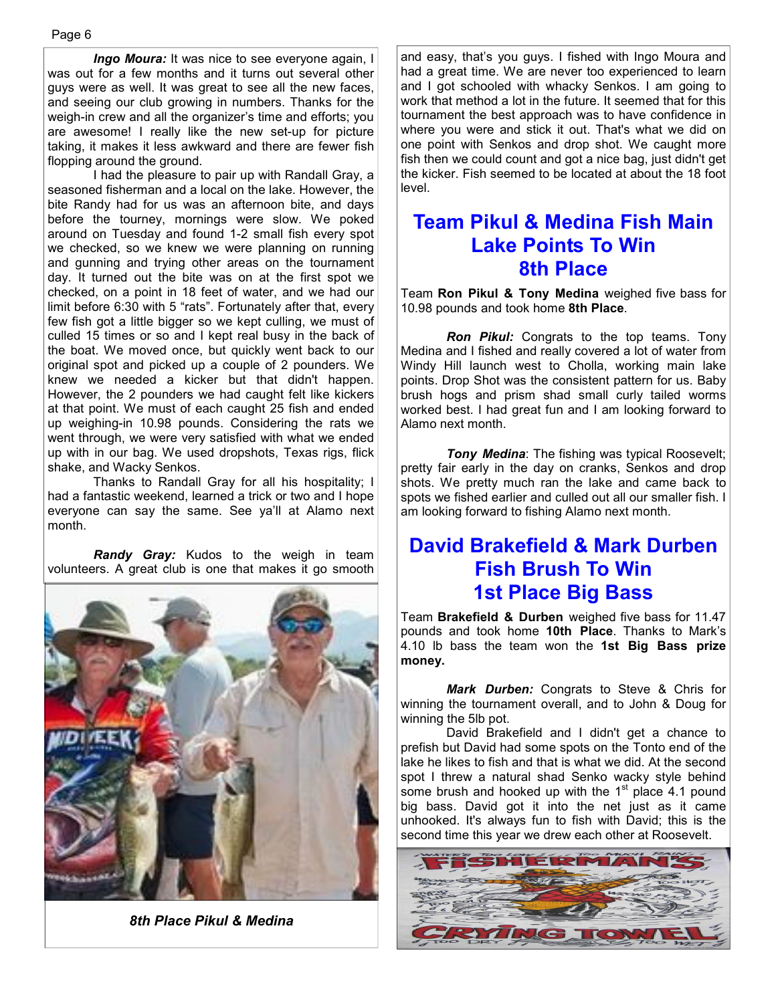*Ingo Moura:* It was nice to see everyone again, I was out for a few months and it turns out several other guys were as well. It was great to see all the new faces, and seeing our club growing in numbers. Thanks for the weigh-in crew and all the organizer's time and efforts; you are awesome! I really like the new set-up for picture taking, it makes it less awkward and there are fewer fish flopping around the ground.

 I had the pleasure to pair up with Randall Gray, a seasoned fisherman and a local on the lake. However, the bite Randy had for us was an afternoon bite, and days before the tourney, mornings were slow. We poked around on Tuesday and found 1-2 small fish every spot we checked, so we knew we were planning on running and gunning and trying other areas on the tournament day. It turned out the bite was on at the first spot we checked, on a point in 18 feet of water, and we had our limit before 6:30 with 5 "rats". Fortunately after that, every few fish got a little bigger so we kept culling, we must of culled 15 times or so and I kept real busy in the back of the boat. We moved once, but quickly went back to our original spot and picked up a couple of 2 pounders. We knew we needed a kicker but that didn't happen. However, the 2 pounders we had caught felt like kickers at that point. We must of each caught 25 fish and ended up weighing-in 10.98 pounds. Considering the rats we went through, we were very satisfied with what we ended up with in our bag. We used dropshots, Texas rigs, flick shake, and Wacky Senkos.

 Thanks to Randall Gray for all his hospitality; I had a fantastic weekend, learned a trick or two and I hope everyone can say the same. See ya'll at Alamo next month.

 *Randy Gray:* Kudos to the weigh in team volunteers. A great club is one that makes it go smooth



*8th Place Pikul & Medina*

and easy, that's you guys. I fished with Ingo Moura and had a great time. We are never too experienced to learn and I got schooled with whacky Senkos. I am going to work that method a lot in the future. It seemed that for this tournament the best approach was to have confidence in where you were and stick it out. That's what we did on one point with Senkos and drop shot. We caught more fish then we could count and got a nice bag, just didn't get the kicker. Fish seemed to be located at about the 18 foot level.

### **Team Pikul & Medina Fish Main Lake Points To Win 8th Place**

Team **Ron Pikul & Tony Medina** weighed five bass for 10.98 pounds and took home **8th Place**.

*Ron Pikul:* Congrats to the top teams. Tony Medina and I fished and really covered a lot of water from Windy Hill launch west to Cholla, working main lake points. Drop Shot was the consistent pattern for us. Baby brush hogs and prism shad small curly tailed worms worked best. I had great fun and I am looking forward to Alamo next month.

*Tony Medina*: The fishing was typical Roosevelt; pretty fair early in the day on cranks, Senkos and drop shots. We pretty much ran the lake and came back to spots we fished earlier and culled out all our smaller fish. I am looking forward to fishing Alamo next month.

# **David Brakefield & Mark Durben Fish Brush To Win 1st Place Big Bass**

Team **Brakefield & Durben** weighed five bass for 11.47 pounds and took home **10th Place**. Thanks to Mark's 4.10 lb bass the team won the **1st Big Bass prize money.** 

*Mark Durben:* Congrats to Steve & Chris for winning the tournament overall, and to John & Doug for winning the 5lb pot.

 David Brakefield and I didn't get a chance to prefish but David had some spots on the Tonto end of the lake he likes to fish and that is what we did. At the second spot I threw a natural shad Senko wacky style behind some brush and hooked up with the  $1<sup>st</sup>$  place 4.1 pound big bass. David got it into the net just as it came unhooked. It's always fun to fish with David; this is the second time this year we drew each other at Roosevelt.

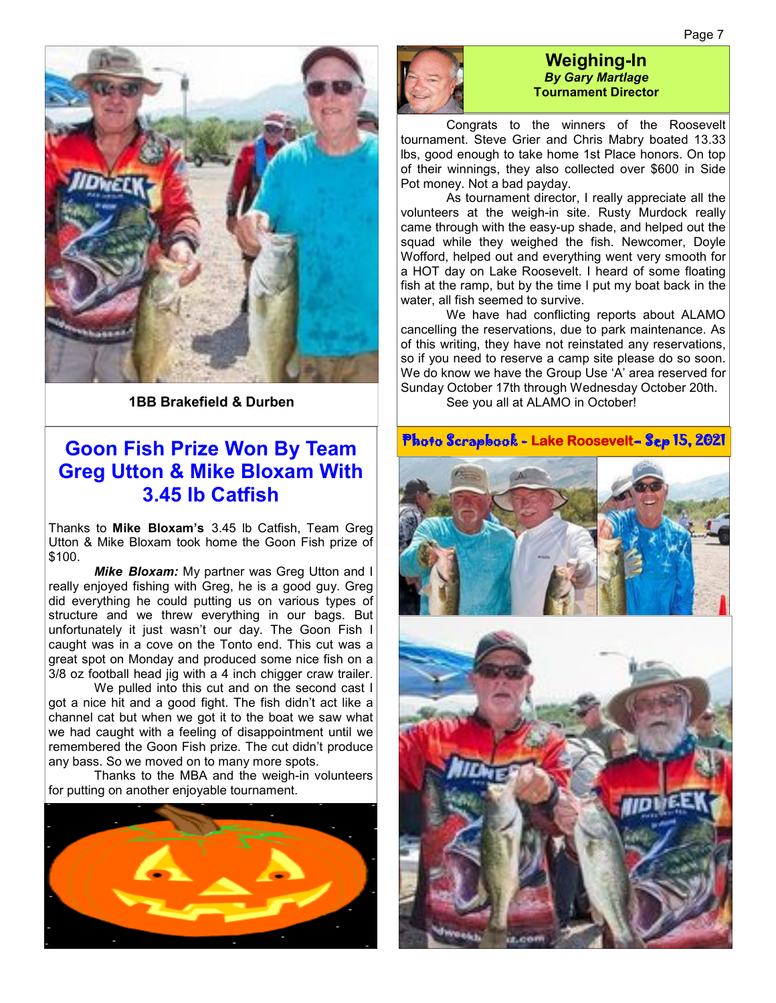

**1BB Brakefield & Durben** 

### **Goon Fish Prize Won By Team Greg Utton & Mike Bloxam With 3.45 lb Catfish**

Thanks to **Mike Bloxam's** 3.45 lb Catfish, Team Greg Utton & Mike Bloxam took home the Goon Fish prize of \$100.

**Mike Bloxam:** My partner was Greg Utton and I really enjoyed fishing with Greg, he is a good guy. Greg did everything he could putting us on various types of structure and we threw everything in our bags. But unfortunately it just wasn't our day. The Goon Fish I caught was in a cove on the Tonto end. This cut was a great spot on Monday and produced some nice fish on a 3/8 oz football head jig with a 4 inch chigger craw trailer.

We pulled into this cut and on the second cast I got a nice hit and a good fight. The fish didn't act like a channel cat but when we got it to the boat we saw what we had caught with a feeling of disappointment until we remembered the Goon Fish prize. The cut didn't produce any bass. So we moved on to many more spots.

 Thanks to the MBA and the weigh-in volunteers for putting on another enjoyable tournament.





#### **Weighing-In**  *By Gary Martlage*  **Tournament Director**

 Congrats to the winners of the Roosevelt tournament. Steve Grier and Chris Mabry boated 13.33 lbs, good enough to take home 1st Place honors. On top of their winnings, they also collected over \$600 in Side Pot money. Not a bad payday.

 As tournament director, I really appreciate all the volunteers at the weigh-in site. Rusty Murdock really came through with the easy-up shade, and helped out the squad while they weighed the fish. Newcomer, Doyle Wofford, helped out and everything went very smooth for a HOT day on Lake Roosevelt. I heard of some floating fish at the ramp, but by the time I put my boat back in the water, all fish seemed to survive.

 We have had conflicting reports about ALAMO cancelling the reservations, due to park maintenance. As of this writing, they have not reinstated any reservations, so if you need to reserve a camp site please do so soon. We do know we have the Group Use 'A' area reserved for Sunday October 17th through Wednesday October 20th.

See you all at ALAMO in October!

Photo Scrapbook - Photo Scrapbook - **Lake Roosevelt**– Sep 15, 2021 – Sep 15, 2021 2021